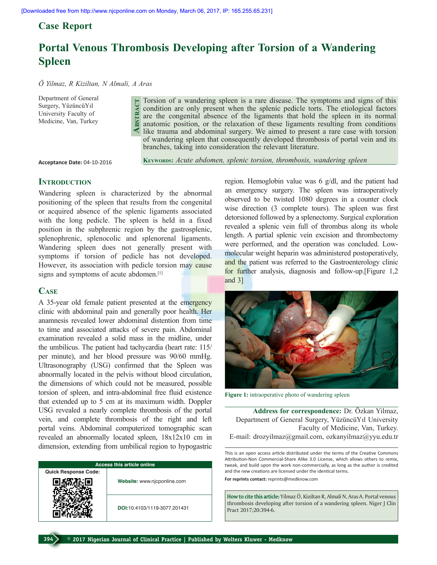**Abstract**

## **Case Report**

# **Portal Venous Thrombosis Developing after Torsion of a Wandering Spleen**

*Ö Yilmaz, R Kiziltan, N Almali, A Aras*

Department of General Surgery, YüzüncüYıl University Faculty of Medicine, Van, Turkey

Torsion of a wandering spleen is a rare disease. The symptoms and signs of this condition are only present when the splenic pedicle torts. The etiological factors are the congenital absence of the ligaments that hold the spleen in its normal anatomic position, or the relaxation of these ligaments resulting from conditions like trauma and abdominal surgery. We aimed to present a rare case with torsion of wandering spleen that consequently developed thrombosis of portal vein and its branches, taking into consideration the relevant literature.

**Acceptance Date:** 04-10-2016

KEYWORDS: Acute abdomen, splenic torsion, thrombosis, wandering spleen

## **INTRODUCTION**

Wandering spleen is characterized by the abnormal positioning of the spleen that results from the congenital or acquired absence of the splenic ligaments associated with the long pedicle. The spleen is held in a fixed position in the subphrenic region by the gastrosplenic, splenophrenic, splenocolic and splenorenal ligaments. Wandering spleen does not generally present with symptoms if torsion of pedicle has not developed. However, its association with pedicle torsion may cause signs and symptoms of acute abdomen.<sup>[1]</sup>

## **Case**

A 35-year old female patient presented at the emergency clinic with abdominal pain and generally poor health. Her anamnesis revealed lower abdominal distention from time to time and associated attacks of severe pain. Abdominal examination revealed a solid mass in the midline, under the umbilicus. The patient had tachycardia (heart rate: 115/ per minute), and her blood pressure was 90/60 mmHg. Ultrasonography (USG) confirmed that the Spleen was abnormally located in the pelvis without blood circulation, the dimensions of which could not be measured, possible torsion of spleen, and intra-abdominal free fluid existence that extended up to 5 cm at its maximum width. Doppler USG revealed a nearly complete thrombosis of the portal vein, and complete thrombosis of the right and left portal veins. Abdominal computerized tomographic scan revealed an abnormally located spleen, 18x12x10 cm in dimension, extending from umbilical region to hypogastric

| <b>Access this article online</b> |                              |
|-----------------------------------|------------------------------|
| <b>Quick Response Code:</b>       |                              |
|                                   | Website: www.njcponline.com  |
|                                   | DOI:10.4103/1119-3077.201431 |

region. Hemoglobin value was 6 g/dl, and the patient had an emergency surgery. The spleen was intraoperatively observed to be twisted 1080 degrees in a counter clock wise direction (3 complete tours). The spleen was first detorsioned followed by a splenectomy. Surgical exploration revealed a splenic vein full of thrombus along its whole length. A partial splenic vein excision and thrombectomy were performed, and the operation was concluded. Lowmolecular weight heparin was administered postoperatively, and the patient was referred to the Gastroenterology clinic for further analysis, diagnosis and follow-up.[Figure 1,2 and 3]



**Figure 1:** intraoperative photo of wandering spleen

**Address for correspondence:** Dr. Özkan Yilmaz, Department of General Surgery, YüzüncüYıl University Faculty of Medicine, Van, Turkey. E-mail: drozyilmaz@gmail.com, ozkanyilmaz@yyu.edu.tr

This is an open access article distributed under the terms of the Creative Commons Attribution-Non Commercial-Share Alike 3.0 License, which allows others to remix, tweak, and build upon the work non-commercially, as long as the author is credited and the new creations are licensed under the identical terms. **For reprints contact:** reprints@medknow.com

**How to cite this article:** Yilmaz Ö, Kiziltan R, Almali N, Aras A. Portal venous thrombosis developing after torsion of a wandering spleen. Niger J Clin Pract 2017;20:394-6.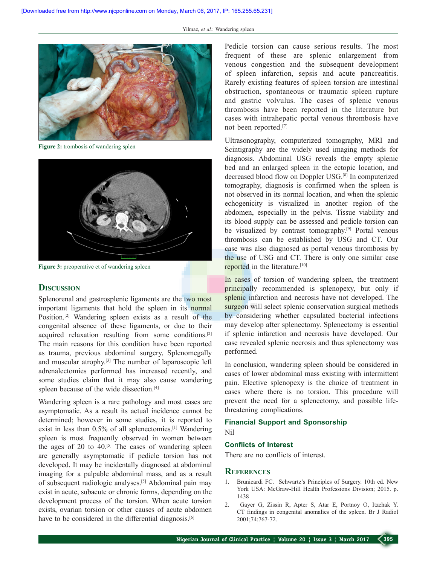

**Figure 2:** trombosis of wandering splen



Figure 3: preoperative ct of wandering spleen

#### **Discussion**

Splenorenal and gastrosplenic ligaments are the two most important ligaments that hold the spleen in its normal Position.[2] Wandering spleen exists as a result of the congenital absence of these ligaments, or due to their acquired relaxation resulting from some conditions.[2] The main reasons for this condition have been reported as trauma, previous abdominal surgery, Splenomegally and muscular atrophy.[3] The number of laparoscopic left adrenalectomies performed has increased recently, and some studies claim that it may also cause wandering spleen because of the wide dissection.<sup>[4]</sup>

Wandering spleen is a rare pathology and most cases are asymptomatic. As a result its actual incidence cannot be determined; however in some studies, it is reported to exist in less than 0.5% of all splenectomies.[1] Wandering spleen is most frequently observed in women between the ages of 20 to  $40^{5}$ ]. The cases of wandering spleen are generally asymptomatic if pedicle torsion has not developed. It may be incidentally diagnosed at abdominal imaging for a palpable abdominal mass, and as a result of subsequent radiologic analyses.[5] Abdominal pain may exist in acute, subacute or chronic forms, depending on the development process of the torsion. When acute torsion exists, ovarian torsion or other causes of acute abdomen have to be considered in the differential diagnosis.<sup>[6]</sup>

Pedicle torsion can cause serious results. The most frequent of these are splenic enlargement from venous congestion and the subsequent development of spleen infarction, sepsis and acute pancreatitis. Rarely existing features of spleen torsion are intestinal obstruction, spontaneous or traumatic spleen rupture and gastric volvulus. The cases of splenic venous thrombosis have been reported in the literature but cases with intrahepatic portal venous thrombosis have not been reported.[7]

Ultrasonography, computerized tomography, MRI and Scintigraphy are the widely used imaging methods for diagnosis. Abdominal USG reveals the empty splenic bed and an enlarged spleen in the ectopic location, and decreased blood flow on Doppler USG.[8] In computerized tomography, diagnosis is confirmed when the spleen is not observed in its normal location, and when the splenic echogenicity is visualized in another region of the abdomen, especially in the pelvis. Tissue viability and its blood supply can be assessed and pedicle torsion can be visualized by contrast tomography.<sup>[9]</sup> Portal venous thrombosis can be established by USG and CT. Our case was also diagnosed as portal venous thrombosis by the use of USG and CT. There is only one similar case reported in the literature.<sup>[10]</sup>

In cases of torsion of wandering spleen, the treatment principally recommended is splenopexy, but only if splenic infarction and necrosis have not developed. The surgeon will select splenic conservation surgical methods by considering whether capsulated bacterial infections may develop after splenectomy. Splenectomy is essential if splenic infarction and necrosis have developed. Our case revealed splenic necrosis and thus splenectomy was performed.

In conclusion, wandering spleen should be considered in cases of lower abdominal mass existing with intermittent pain. Elective splenopexy is the choice of treatment in cases where there is no torsion. This procedure will prevent the need for a splenectomy, and possible lifethreatening complications.

### **Financial Support and Sponsorship**

## Nil

#### **Conflicts of Interest**

There are no conflicts of interest.

#### **References**

- 1. Brunicardi FC. Schwartz's Principles of Surgery. 10th ed. New York USA: McGraw-Hill Health Professions Division; 2015. p. 1438
- 2. Gayer G, Zissin R, Apter S, Atar E, Portnoy O, Itzchak Y. CT findings in congenital anomalies of the spleen. Br J Radiol 2001;74:767-72.